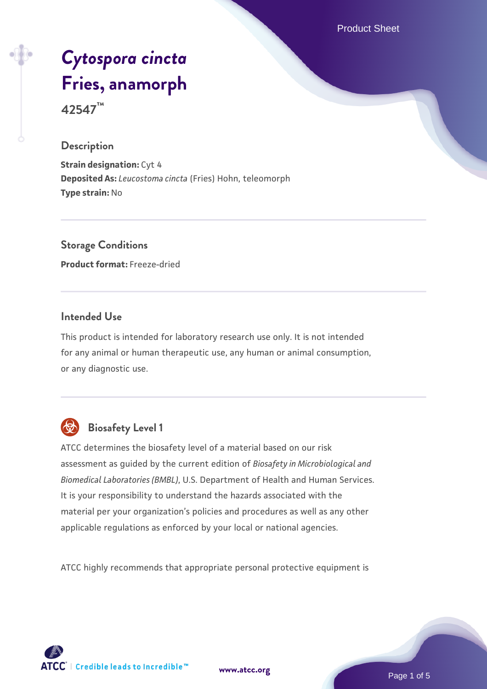Product Sheet

# *[Cytospora cincta](https://www.atcc.org/products/42547)* **[Fries, anamorph](https://www.atcc.org/products/42547)**

**42547™**

#### **Description**

**Strain designation:** Cyt 4 **Deposited As:** *Leucostoma cincta* (Fries) Hohn, teleomorph **Type strain:** No

**Storage Conditions Product format:** Freeze-dried

#### **Intended Use**

This product is intended for laboratory research use only. It is not intended for any animal or human therapeutic use, any human or animal consumption, or any diagnostic use.



# **Biosafety Level 1**

ATCC determines the biosafety level of a material based on our risk assessment as guided by the current edition of *Biosafety in Microbiological and Biomedical Laboratories (BMBL)*, U.S. Department of Health and Human Services. It is your responsibility to understand the hazards associated with the material per your organization's policies and procedures as well as any other applicable regulations as enforced by your local or national agencies.

ATCC highly recommends that appropriate personal protective equipment is

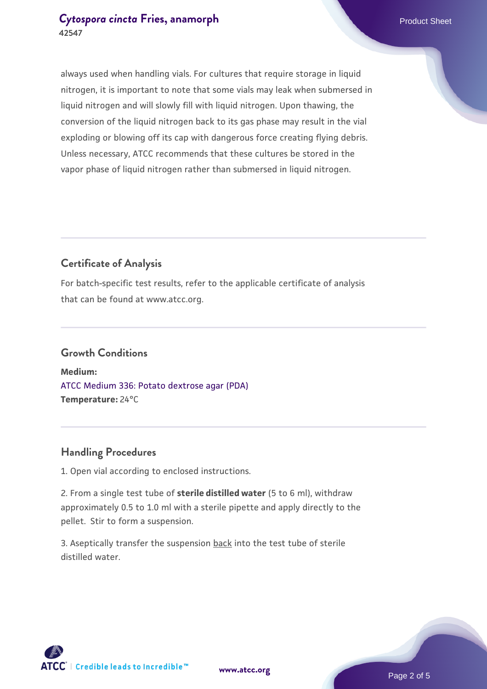#### **[Cytospora cincta](https://www.atcc.org/products/42547) [Fries, anamorph](https://www.atcc.org/products/42547)** Product Sheet **42547**

always used when handling vials. For cultures that require storage in liquid nitrogen, it is important to note that some vials may leak when submersed in liquid nitrogen and will slowly fill with liquid nitrogen. Upon thawing, the conversion of the liquid nitrogen back to its gas phase may result in the vial exploding or blowing off its cap with dangerous force creating flying debris. Unless necessary, ATCC recommends that these cultures be stored in the vapor phase of liquid nitrogen rather than submersed in liquid nitrogen.

# **Certificate of Analysis**

For batch-specific test results, refer to the applicable certificate of analysis that can be found at www.atcc.org.

#### **Growth Conditions**

**Medium:**  [ATCC Medium 336: Potato dextrose agar \(PDA\)](https://www.atcc.org/-/media/product-assets/documents/microbial-media-formulations/3/3/6/atcc-medium-336.pdf?rev=d9160ad44d934cd8b65175461abbf3b9) **Temperature:** 24°C

#### **Handling Procedures**

1. Open vial according to enclosed instructions.

2. From a single test tube of **sterile distilled water** (5 to 6 ml), withdraw approximately 0.5 to 1.0 ml with a sterile pipette and apply directly to the pellet. Stir to form a suspension.

3. Aseptically transfer the suspension back into the test tube of sterile distilled water.



**[www.atcc.org](http://www.atcc.org)**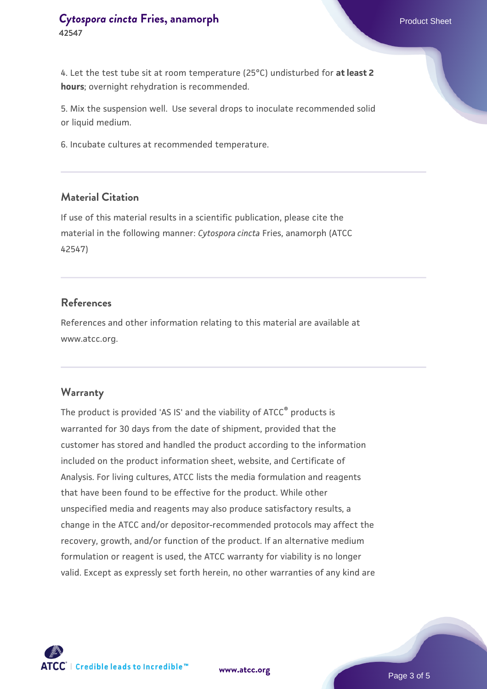4. Let the test tube sit at room temperature (25°C) undisturbed for **at least 2 hours**; overnight rehydration is recommended.

5. Mix the suspension well. Use several drops to inoculate recommended solid or liquid medium.

6. Incubate cultures at recommended temperature.

#### **Material Citation**

If use of this material results in a scientific publication, please cite the material in the following manner: *Cytospora cincta* Fries, anamorph (ATCC 42547)

#### **References**

References and other information relating to this material are available at www.atcc.org.

#### **Warranty**

The product is provided 'AS IS' and the viability of ATCC® products is warranted for 30 days from the date of shipment, provided that the customer has stored and handled the product according to the information included on the product information sheet, website, and Certificate of Analysis. For living cultures, ATCC lists the media formulation and reagents that have been found to be effective for the product. While other unspecified media and reagents may also produce satisfactory results, a change in the ATCC and/or depositor-recommended protocols may affect the recovery, growth, and/or function of the product. If an alternative medium formulation or reagent is used, the ATCC warranty for viability is no longer valid. Except as expressly set forth herein, no other warranties of any kind are



**[www.atcc.org](http://www.atcc.org)**

Page 3 of 5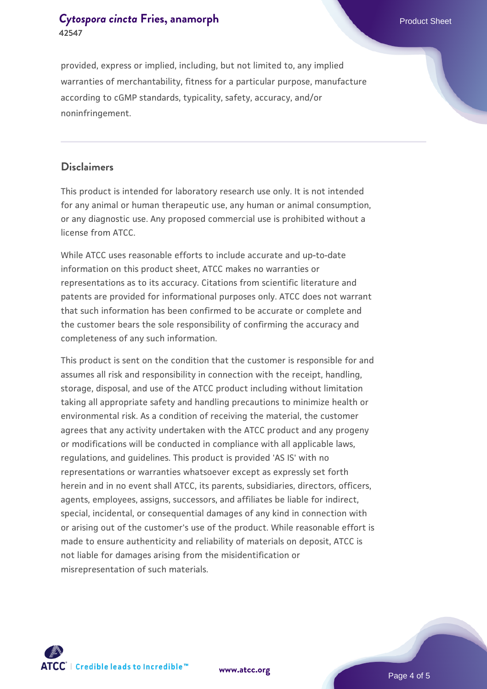#### **[Cytospora cincta](https://www.atcc.org/products/42547) [Fries, anamorph](https://www.atcc.org/products/42547)** Product Sheet **42547**

provided, express or implied, including, but not limited to, any implied warranties of merchantability, fitness for a particular purpose, manufacture according to cGMP standards, typicality, safety, accuracy, and/or noninfringement.

#### **Disclaimers**

This product is intended for laboratory research use only. It is not intended for any animal or human therapeutic use, any human or animal consumption, or any diagnostic use. Any proposed commercial use is prohibited without a license from ATCC.

While ATCC uses reasonable efforts to include accurate and up-to-date information on this product sheet, ATCC makes no warranties or representations as to its accuracy. Citations from scientific literature and patents are provided for informational purposes only. ATCC does not warrant that such information has been confirmed to be accurate or complete and the customer bears the sole responsibility of confirming the accuracy and completeness of any such information.

This product is sent on the condition that the customer is responsible for and assumes all risk and responsibility in connection with the receipt, handling, storage, disposal, and use of the ATCC product including without limitation taking all appropriate safety and handling precautions to minimize health or environmental risk. As a condition of receiving the material, the customer agrees that any activity undertaken with the ATCC product and any progeny or modifications will be conducted in compliance with all applicable laws, regulations, and guidelines. This product is provided 'AS IS' with no representations or warranties whatsoever except as expressly set forth herein and in no event shall ATCC, its parents, subsidiaries, directors, officers, agents, employees, assigns, successors, and affiliates be liable for indirect, special, incidental, or consequential damages of any kind in connection with or arising out of the customer's use of the product. While reasonable effort is made to ensure authenticity and reliability of materials on deposit, ATCC is not liable for damages arising from the misidentification or misrepresentation of such materials.



**[www.atcc.org](http://www.atcc.org)**

Page 4 of 5